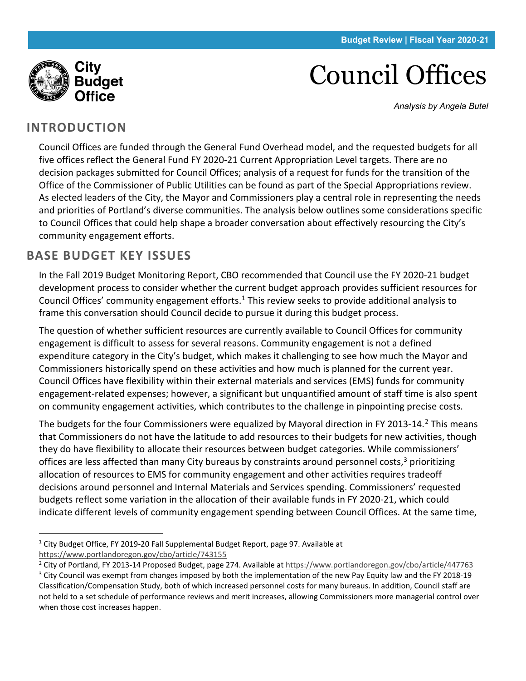

Council Offices

*Analysis by Angela Butel*

#### **INTRODUCTION**

Council Offices are funded through the General Fund Overhead model, and the requested budgets for all five offices reflect the General Fund FY 2020-21 Current Appropriation Level targets. There are no decision packages submitted for Council Offices; analysis of a request for funds for the transition of the Office of the Commissioner of Public Utilities can be found as part of the Special Appropriations review. As elected leaders of the City, the Mayor and Commissioners play a central role in representing the needs and priorities of Portland's diverse communities. The analysis below outlines some considerations specific to Council Offices that could help shape a broader conversation about effectively resourcing the City's community engagement efforts.

#### **BASE BUDGET KEY ISSUES**

In the Fall 2019 Budget Monitoring Report, CBO recommended that Council use the FY 2020-21 budget development process to consider whether the current budget approach provides sufficient resources for Council Offices' community engagement efforts. [1](#page-0-0) This review seeks to provide additional analysis to frame this conversation should Council decide to pursue it during this budget process.

The question of whether sufficient resources are currently available to Council Offices for community engagement is difficult to assess for several reasons. Community engagement is not a defined expenditure category in the City's budget, which makes it challenging to see how much the Mayor and Commissioners historically spend on these activities and how much is planned for the current year. Council Offices have flexibility within their external materials and services (EMS) funds for community engagement-related expenses; however, a significant but unquantified amount of staff time is also spent on community engagement activities, which contributes to the challenge in pinpointing precise costs.

The budgets for the four Commissioners were equalized by Mayoral direction in FY [2](#page-0-1)013-14.<sup>2</sup> This means that Commissioners do not have the latitude to add resources to their budgets for new activities, though they do have flexibility to allocate their resources between budget categories. While commissioners' offices are less affected than many City bureaus by constraints around personnel costs, $3$  prioritizing allocation of resources to EMS for community engagement and other activities requires tradeoff decisions around personnel and Internal Materials and Services spending. Commissioners' requested budgets reflect some variation in the allocation of their available funds in FY 2020-21, which could indicate different levels of community engagement spending between Council Offices. At the same time,

<span id="page-0-0"></span> $1$  City Budget Office, FY 2019-20 Fall Supplemental Budget Report, page 97. Available at <https://www.portlandoregon.gov/cbo/article/743155>

<span id="page-0-1"></span><sup>&</sup>lt;sup>2</sup> City of Portland, FY 2013-14 Proposed Budget, page 274. Available a[t https://www.portlandoregon.gov/cbo/article/447763](https://www.portlandoregon.gov/cbo/article/447763)

<span id="page-0-2"></span> $3$  City Council was exempt from changes imposed by both the implementation of the new Pay Equity law and the FY 2018-19 Classification/Compensation Study, both of which increased personnel costs for many bureaus. In addition, Council staff are not held to a set schedule of performance reviews and merit increases, allowing Commissioners more managerial control over when those cost increases happen.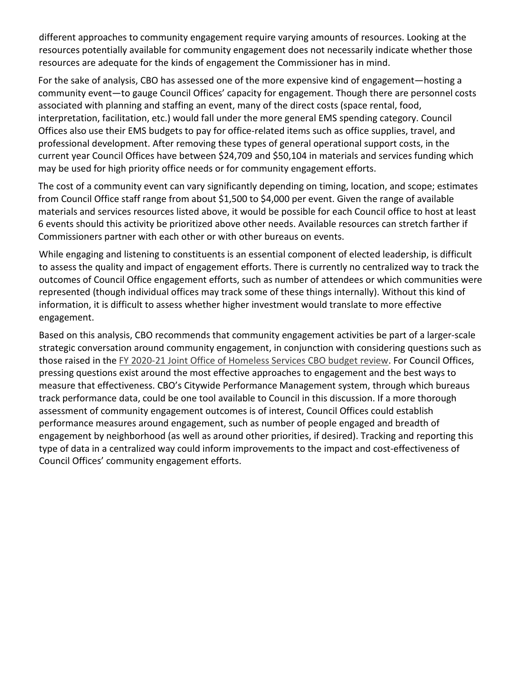different approaches to community engagement require varying amounts of resources. Looking at the resources potentially available for community engagement does not necessarily indicate whether those resources are adequate for the kinds of engagement the Commissioner has in mind.

For the sake of analysis, CBO has assessed one of the more expensive kind of engagement—hosting a community event—to gauge Council Offices' capacity for engagement. Though there are personnel costs associated with planning and staffing an event, many of the direct costs (space rental, food, interpretation, facilitation, etc.) would fall under the more general EMS spending category. Council Offices also use their EMS budgets to pay for office-related items such as office supplies, travel, and professional development. After removing these types of general operational support costs, in the current year Council Offices have between \$24,709 and \$50,104 in materials and services funding which may be used for high priority office needs or for community engagement efforts.

The cost of a community event can vary significantly depending on timing, location, and scope; estimates from Council Office staff range from about \$1,500 to \$4,000 per event. Given the range of available materials and services resources listed above, it would be possible for each Council office to host at least 6 events should this activity be prioritized above other needs. Available resources can stretch farther if Commissioners partner with each other or with other bureaus on events.

While engaging and listening to constituents is an essential component of elected leadership, is difficult to assess the quality and impact of engagement efforts. There is currently no centralized way to track the outcomes of Council Office engagement efforts, such as number of attendees or which communities were represented (though individual offices may track some of these things internally). Without this kind of information, it is difficult to assess whether higher investment would translate to more effective engagement.

Based on this analysis, CBO recommends that community engagement activities be part of a larger-scale strategic conversation around community engagement, in conjunction with considering questions such as those raised in the [FY 2020-21 Joint Office of Homeless Services CBO budget review.](https://www.portlandoregon.gov/cbo/article/754861) For Council Offices, pressing questions exist around the most effective approaches to engagement and the best ways to measure that effectiveness. CBO's Citywide Performance Management system, through which bureaus track performance data, could be one tool available to Council in this discussion. If a more thorough assessment of community engagement outcomes is of interest, Council Offices could establish performance measures around engagement, such as number of people engaged and breadth of engagement by neighborhood (as well as around other priorities, if desired). Tracking and reporting this type of data in a centralized way could inform improvements to the impact and cost-effectiveness of Council Offices' community engagement efforts.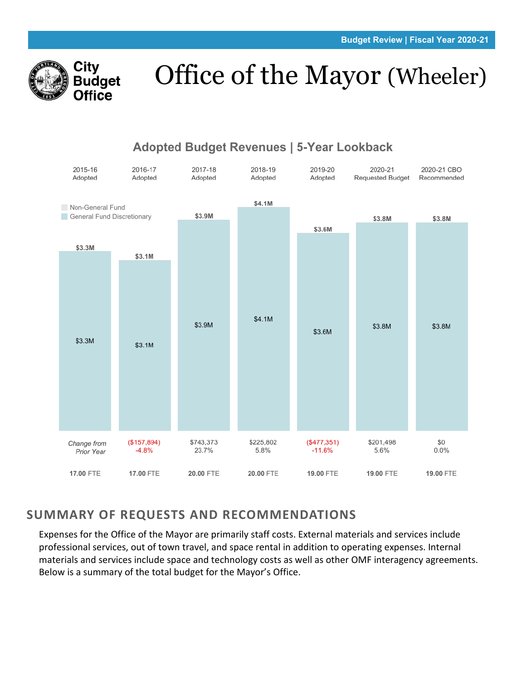

# Office of the Mayor (Wheeler)



#### Adopted Budget Revenues | 5-Year Lookback

#### **SUMMARY OF REQUESTS AND RECOMMENDATIONS**

Expenses for the Office of the Mayor are primarily staff costs. External materials and services include professional services, out of town travel, and space rental in addition to operating expenses. Internal materials and services include space and technology costs as well as other OMF interagency agreements. Below is a summary of the total budget for the Mayor's Office.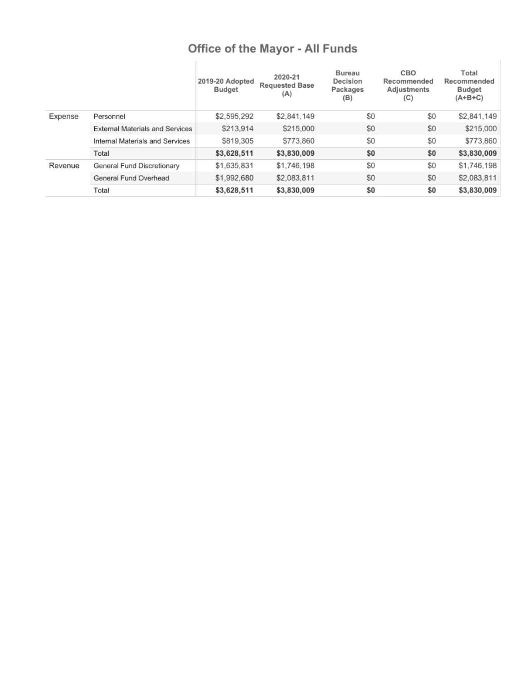# Office of the Mayor - All Funds

|         |                                        | 2019-20 Adopted<br><b>Budget</b> | 2020-21<br><b>Requested Base</b><br>(A) | Bureau<br>Decision<br>Packages<br>(B) | CBO<br>Recommended<br>Adjustments<br>(C) | Total<br>Recommended<br><b>Budget</b><br>$(A+B+C)$ |
|---------|----------------------------------------|----------------------------------|-----------------------------------------|---------------------------------------|------------------------------------------|----------------------------------------------------|
| Expense | Personnel                              | \$2,595,292                      | \$2,841,149                             | \$0                                   | \$0                                      | \$2,841,149                                        |
|         | <b>External Materials and Services</b> | \$213,914                        | \$215,000                               | \$0                                   | \$0                                      | \$215,000                                          |
|         | Internal Materials and Services        | \$819,305                        | \$773,860                               | \$0                                   | \$0                                      | \$773,860                                          |
|         | Total                                  | \$3,628,511                      | \$3,830,009                             | \$0                                   | \$0                                      | \$3,830,009                                        |
| Revenue | General Fund Discretionary             | \$1,635,831                      | \$1,746,198                             | \$0                                   | \$0                                      | \$1,746,198                                        |
|         | General Fund Overhead                  | \$1,992,680                      | \$2,083,811                             | \$0                                   | \$0                                      | \$2,083,811                                        |
|         | Total                                  | \$3,628,511                      | \$3,830,009                             | \$0                                   | \$0                                      | \$3,830,009                                        |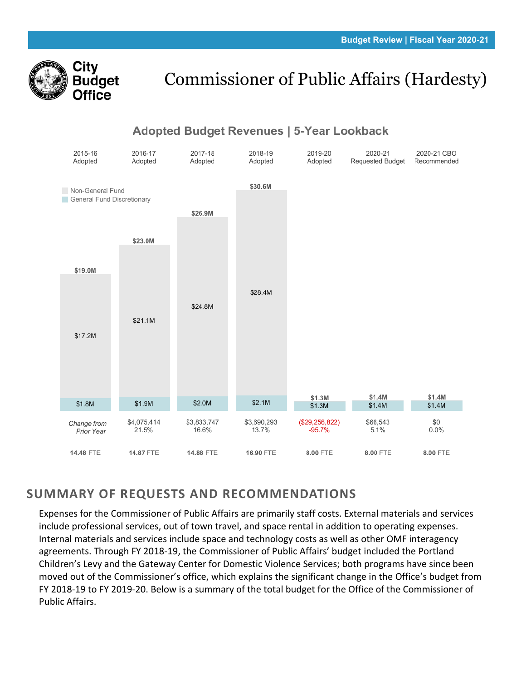

# Commissioner of Public Affairs (Hardesty)



### **SUMMARY OF REQUESTS AND RECOMMENDATIONS**

Expenses for the Commissioner of Public Affairs are primarily staff costs. External materials and services include professional services, out of town travel, and space rental in addition to operating expenses. Internal materials and services include space and technology costs as well as other OMF interagency agreements. Through FY 2018-19, the Commissioner of Public Affairs' budget included the Portland Children's Levy and the Gateway Center for Domestic Violence Services; both programs have since been moved out of the Commissioner's office, which explains the significant change in the Office's budget from FY 2018-19 to FY 2019-20. Below is a summary of the total budget for the Office of the Commissioner of Public Affairs.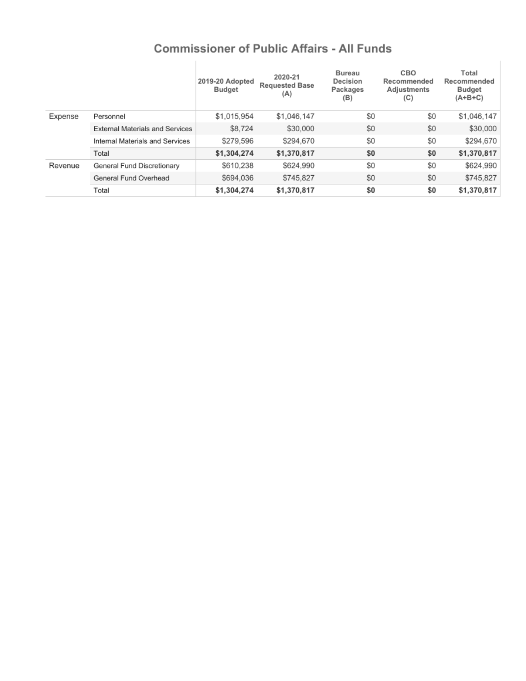### **Commissioner of Public Affairs - All Funds**

 $\mathbb{L}$ 

|         |                                        | 2019-20 Adopted<br>Budget | 2020-21<br><b>Requested Base</b><br>(A) | Bureau<br>Decision<br>Packages<br>(B) | CBO<br>Recommended<br>Adjustments<br>(C) | Total<br>Recommended<br><b>Budget</b><br>$(A+B+C)$ |
|---------|----------------------------------------|---------------------------|-----------------------------------------|---------------------------------------|------------------------------------------|----------------------------------------------------|
| Expense | Personnel                              | \$1,015,954               | \$1,046,147                             | \$0                                   | \$0                                      | \$1,046,147                                        |
|         | <b>External Materials and Services</b> | \$8,724                   | \$30,000                                | \$0                                   | \$0                                      | \$30,000                                           |
|         | Internal Materials and Services        | \$279,596                 | \$294,670                               | \$0                                   | \$0                                      | \$294,670                                          |
|         | Total                                  | \$1,304,274               | \$1,370,817                             | \$0                                   | \$0                                      | \$1,370,817                                        |
| Revenue | General Fund Discretionary             | \$610,238                 | \$624,990                               | \$0                                   | \$0                                      | \$624,990                                          |
|         | General Fund Overhead                  | \$694,036                 | \$745,827                               | \$0                                   | \$0                                      | \$745,827                                          |
|         | Total                                  | \$1,304,274               | \$1,370,817                             | \$0                                   | \$0                                      | \$1,370,817                                        |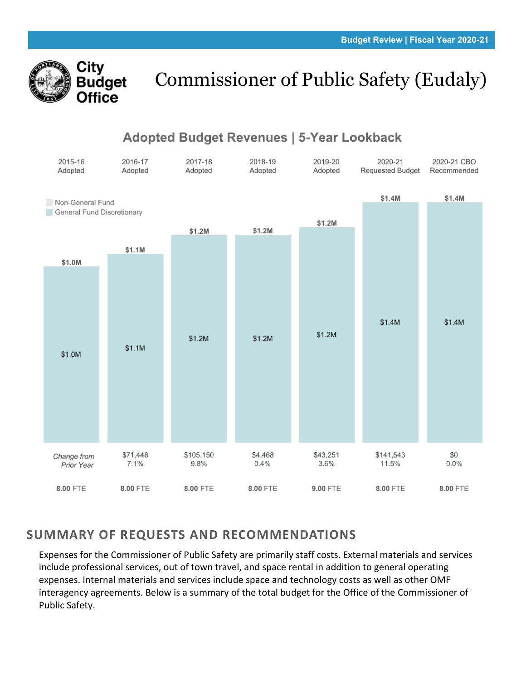

# Commissioner of Public Safety (Eudaly)

# **Adopted Budget Revenues | 5-Year Lookback**



## **SUMMARY OF REQUESTS AND RECOMMENDATIONS**

Expenses for the Commissioner of Public Safety are primarily staff costs. External materials and services include professional services, out of town travel, and space rental in addition to general operating expenses. Internal materials and services include space and technology costs as well as other OMF interagency agreements. Below is a summary of the total budget for the Office of the Commissioner of Public Safety.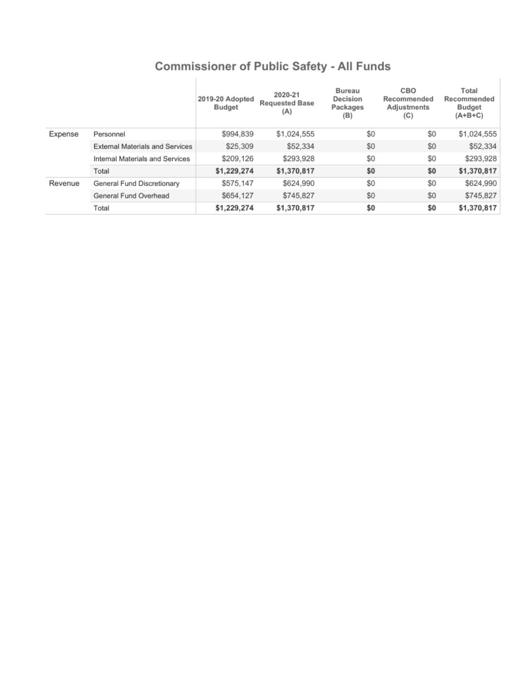| <b>Commissioner of Public Safety - All Funds</b> |  |  |  |  |  |
|--------------------------------------------------|--|--|--|--|--|
|--------------------------------------------------|--|--|--|--|--|

|         |                                        | 2019-20 Adopted<br><b>Budget</b> | 2020-21<br><b>Requested Base</b><br>(A) | Bureau<br>Decision<br>Packages<br>(B) | CBO<br>Recommended<br>Adjustments<br>(C) | Total<br>Recommended<br><b>Budget</b><br>(A+B+C) |
|---------|----------------------------------------|----------------------------------|-----------------------------------------|---------------------------------------|------------------------------------------|--------------------------------------------------|
| Expense | Personnel                              | \$994,839                        | \$1,024,555                             | \$0                                   | \$0                                      | \$1,024,555                                      |
|         | <b>External Materials and Services</b> | \$25,309                         | \$52,334                                | \$0                                   | \$0                                      | \$52,334                                         |
|         | Internal Materials and Services        | \$209.126                        | \$293.928                               | \$0                                   | \$0                                      | \$293,928                                        |
|         | Total                                  | \$1,229,274                      | \$1,370,817                             | \$0                                   | \$0                                      | \$1,370,817                                      |
| Revenue | General Fund Discretionary             | \$575,147                        | \$624.990                               | \$0                                   | \$0                                      | \$624,990                                        |
|         | General Fund Overhead                  | \$654.127                        | \$745.827                               | \$0                                   | \$0                                      | \$745.827                                        |
|         | Total                                  | \$1,229,274                      | \$1,370,817                             | \$0                                   | \$0                                      | \$1,370,817                                      |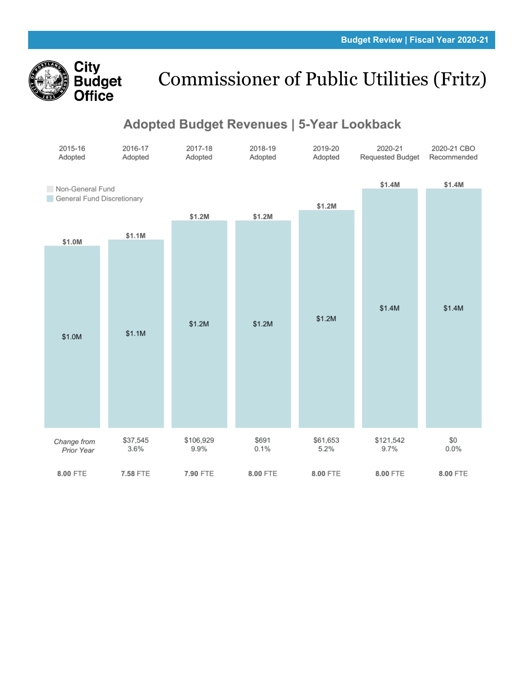

# Commissioner of Public Utilities (Fritz)

### Adopted Budget Revenues | 5-Year Lookback

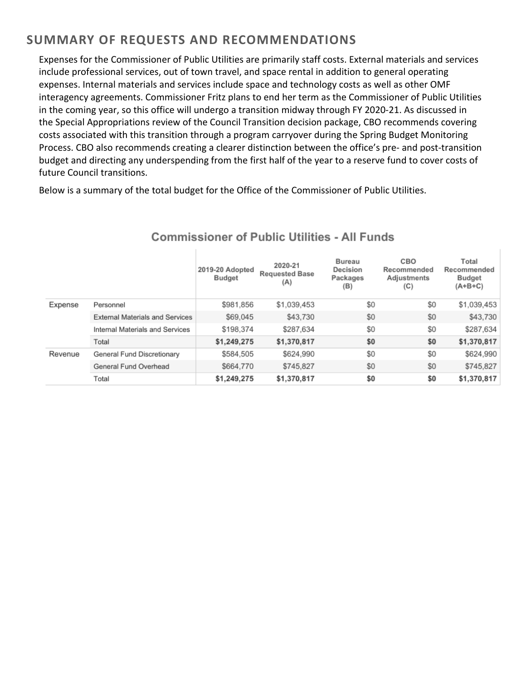### **SUMMARY OF REQUESTS AND RECOMMENDATIONS**

Expenses for the Commissioner of Public Utilities are primarily staff costs. External materials and services include professional services, out of town travel, and space rental in addition to general operating expenses. Internal materials and services include space and technology costs as well as other OMF interagency agreements. Commissioner Fritz plans to end her term as the Commissioner of Public Utilities in the coming year, so this office will undergo a transition midway through FY 2020-21. As discussed in the Special Appropriations review of the Council Transition decision package, CBO recommends covering costs associated with this transition through a program carryover during the Spring Budget Monitoring Process. CBO also recommends creating a clearer distinction between the office's pre- and post-transition budget and directing any underspending from the first half of the year to a reserve fund to cover costs of future Council transitions.

Below is a summary of the total budget for the Office of the Commissioner of Public Utilities.

|         |                                        | 2019-20 Adopted<br>Budget | 2020-21<br><b>Requested Base</b><br>(A) | Bureau<br>Decision<br>Packages<br>(B) | CBO<br>Recommended<br>Adjustments<br>(C) | Total<br>Recommended<br><b>Budget</b><br>$(A+B+C)$ |
|---------|----------------------------------------|---------------------------|-----------------------------------------|---------------------------------------|------------------------------------------|----------------------------------------------------|
| Expense | Personnel                              | \$981,856                 | \$1,039,453                             | \$0                                   | \$0                                      | \$1,039,453                                        |
|         | <b>External Materials and Services</b> | \$69,045                  | \$43,730                                | \$0                                   | \$0                                      | \$43,730                                           |
|         | Internal Materials and Services        | \$198,374                 | \$287,634                               | \$0                                   | \$0                                      | \$287,634                                          |
|         | Total                                  | \$1,249,275               | \$1,370,817                             | \$0                                   | \$0                                      | \$1,370,817                                        |
| Revenue | General Fund Discretionary             | \$584,505                 | \$624.990                               | \$0                                   | \$0                                      | \$624,990                                          |
|         | General Fund Overhead                  | \$664,770                 | \$745.827                               | \$0                                   | \$0                                      | \$745,827                                          |
|         | Total                                  | \$1,249,275               | \$1,370,817                             | \$0                                   | \$0                                      | \$1,370,817                                        |

#### **Commissioner of Public Utilities - All Funds**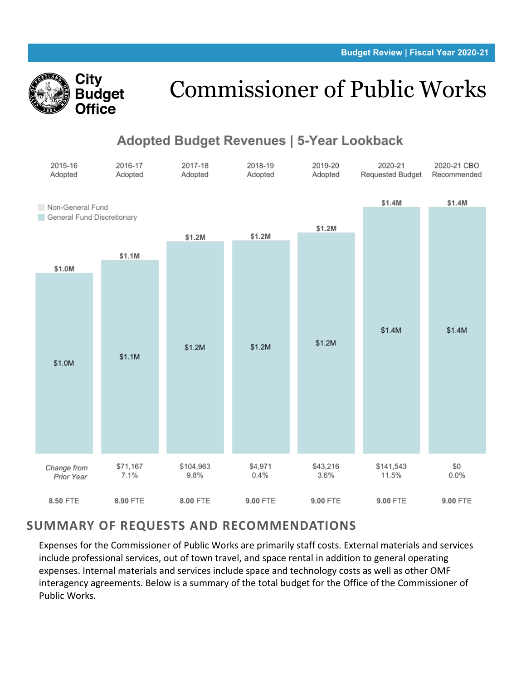

# Commissioner of Public Works

# Adopted Budget Revenues | 5-Year Lookback



#### **SUMMARY OF REQUESTS AND RECOMMENDATIONS**

Expenses for the Commissioner of Public Works are primarily staff costs. External materials and services include professional services, out of town travel, and space rental in addition to general operating expenses. Internal materials and services include space and technology costs as well as other OMF interagency agreements. Below is a summary of the total budget for the Office of the Commissioner of Public Works.